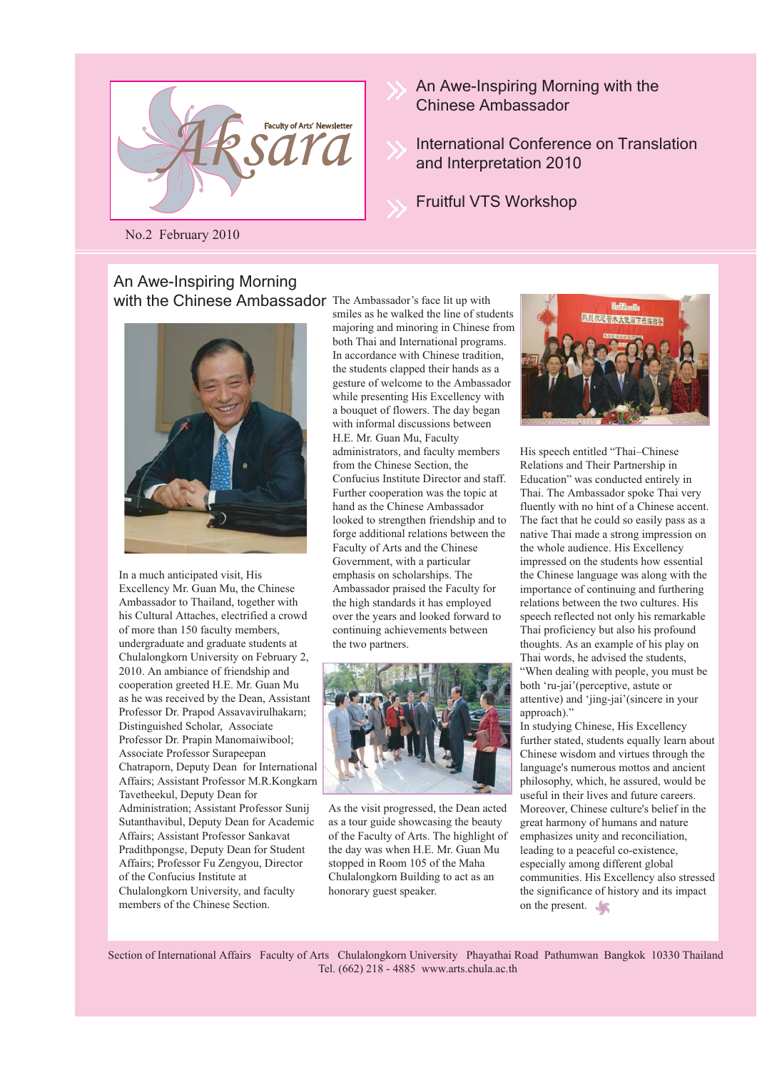

No.2 February 2010

#### with the Chinese Ambassador The Ambassador's face lit up with An Awe-Inspiring Morning



In a much anticipated visit, His Excellency Mr. Guan Mu, the Chinese Ambassador to Thailand, together with his Cultural Attaches, electrified a crowd of more than 150 faculty members, undergraduate and graduate students at Chulalongkorn University on February 2, 2010. An ambiance of friendship and cooperation greeted H.E. Mr. Guan Mu as he was received by the Dean, Assistant Professor Dr. Prapod Assavavirulhakarn; Distinguished Scholar, Associate Professor Dr. Prapin Manomaiwibool; Associate Professor Surapeepan Chatraporn, Deputy Dean for International Affairs; Assistant Professor M.R.Kongkarn Tavetheekul, Deputy Dean for Administration; Assistant Professor Sunij Sutanthavibul, Deputy Dean for Academic Affairs; Assistant Professor Sankavat Pradithpongse, Deputy Dean for Student Affairs; Professor Fu Zengyou, Director of the Confucius Institute at Chulalongkorn University, and faculty members of the Chinese Section.

smiles as he walked the line of students majoring and minoring in Chinese from both Thai and International programs. In accordance with Chinese tradition, the students clapped their hands as a gesture of welcome to the Ambassador while presenting His Excellency with a bouquet of flowers. The day began with informal discussions between H.E. Mr. Guan Mu, Faculty administrators, and faculty members from the Chinese Section, the Confucius Institute Director and staff. Further cooperation was the topic at hand as the Chinese Ambassador looked to strengthen friendship and to forge additional relations between the Faculty of Arts and the Chinese Government, with a particular emphasis on scholarships. The Ambassador praised the Faculty for the high standards it has employed over the years and looked forward to continuing achievements between the two partners.



As the visit progressed, the Dean acted as a tour guide showcasing the beauty of the Faculty of Arts. The highlight of the day was when H.E. Mr. Guan Mu stopped in Room 105 of the Maha Chulalongkorn Building to act as an honorary guest speaker.

His speech entitled "Thai–Chinese Relations and Their Partnership in Education" was conducted entirely in Thai. The Ambassador spoke Thai very fluently with no hint of a Chinese accent. The fact that he could so easily pass as a native Thai made a strong impression on the whole audience. His Excellency impressed on the students how essential the Chinese language was along with the importance of continuing and furthering relations between the two cultures. His speech reflected not only his remarkable Thai proficiency but also his profound thoughts. As an example of his play on Thai words, he advised the students, "When dealing with people, you must be both 'ru-jai'(perceptive, astute or attentive) and 'jing-jai'(sincere in your approach)."

In studying Chinese, His Excellency further stated, students equally learn about Chinese wisdom and virtues through the language's numerous mottos and ancient philosophy, which, he assured, would be useful in their lives and future careers. Moreover, Chinese culture's belief in the great harmony of humans and nature emphasizes unity and reconciliation, leading to a peaceful co-existence, especially among different global communities. His Excellency also stressed the significance of history and its impact on the present.

Section of International Affairs Faculty of Arts Chulalongkorn University Phayathai Road Pathumwan Bangkok 10330 Thailand Tel. (662) 218 - 4885 www.arts.chula.ac.th

An Awe-Inspiring Morning with the Chinese Ambassador

International Conference on Translation and Interpretation 2010

Fruitful VTS Workshop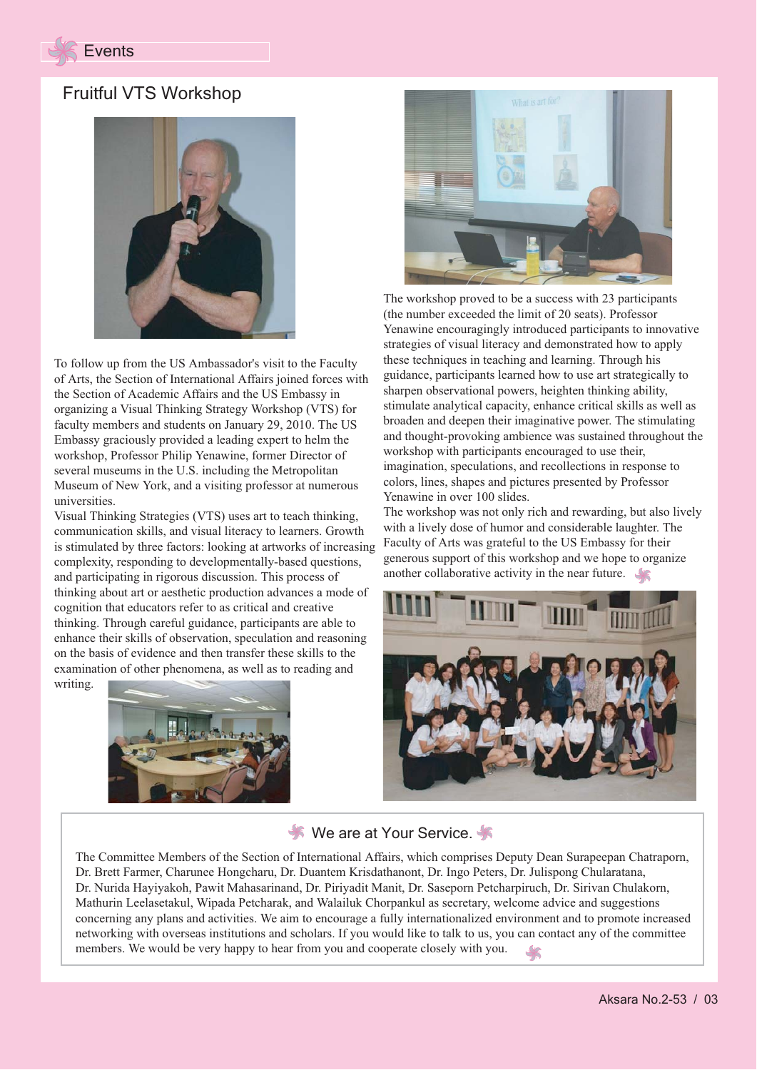

### Fruitful VTS Workshop



To follow up from the US Ambassador's visit to the Faculty of Arts, the Section of International Affairs joined forces with the Section of Academic Affairs and the US Embassy in organizing a Visual Thinking Strategy Workshop (VTS) for faculty members and students on January 29, 2010. The US Embassy graciously provided a leading expert to helm the workshop, Professor Philip Yenawine, former Director of several museums in the U.S. including the Metropolitan Museum of New York, and a visiting professor at numerous universities.

Visual Thinking Strategies (VTS) uses art to teach thinking, communication skills, and visual literacy to learners. Growth is stimulated by three factors: looking at artworks of increasing complexity, responding to developmentally-based questions, and participating in rigorous discussion. This process of thinking about art or aesthetic production advances a mode of cognition that educators refer to as critical and creative thinking. Through careful guidance, participants are able to enhance their skills of observation, speculation and reasoning on the basis of evidence and then transfer these skills to the examination of other phenomena, as well as to reading and writing.





The workshop proved to be a success with 23 participants (the number exceeded the limit of 20 seats). Professor Yenawine encouragingly introduced participants to innovative strategies of visual literacy and demonstrated how to apply these techniques in teaching and learning. Through his guidance, participants learned how to use art strategically to sharpen observational powers, heighten thinking ability, stimulate analytical capacity, enhance critical skills as well as broaden and deepen their imaginative power. The stimulating and thought-provoking ambience was sustained throughout the workshop with participants encouraged to use their, imagination, speculations, and recollections in response to colors, lines, shapes and pictures presented by Professor Yenawine in over 100 slides.

The workshop was not only rich and rewarding, but also lively with a lively dose of humor and considerable laughter. The Faculty of Arts was grateful to the US Embassy for their generous support of this workshop and we hope to organize another collaborative activity in the near future.



#### **We are at Your Service.**

The Committee Members of the Section of International Affairs, which comprises Deputy Dean Surapeepan Chatraporn, Dr. Brett Farmer, Charunee Hongcharu, Dr. Duantem Krisdathanont, Dr. Ingo Peters, Dr. Julispong Chularatana, Dr. Nurida Hayiyakoh, Pawit Mahasarinand, Dr. Piriyadit Manit, Dr. Saseporn Petcharpiruch, Dr. Sirivan Chulakorn, Mathurin Leelasetakul, Wipada Petcharak, and Walailuk Chorpankul as secretary, welcome advice and suggestions concerning any plans and activities. We aim to encourage a fully internationalized environment and to promote increased networking with overseas institutions and scholars. If you would like to talk to us, you can contact any of the committee members. We would be very happy to hear from you and cooperate closely with you.